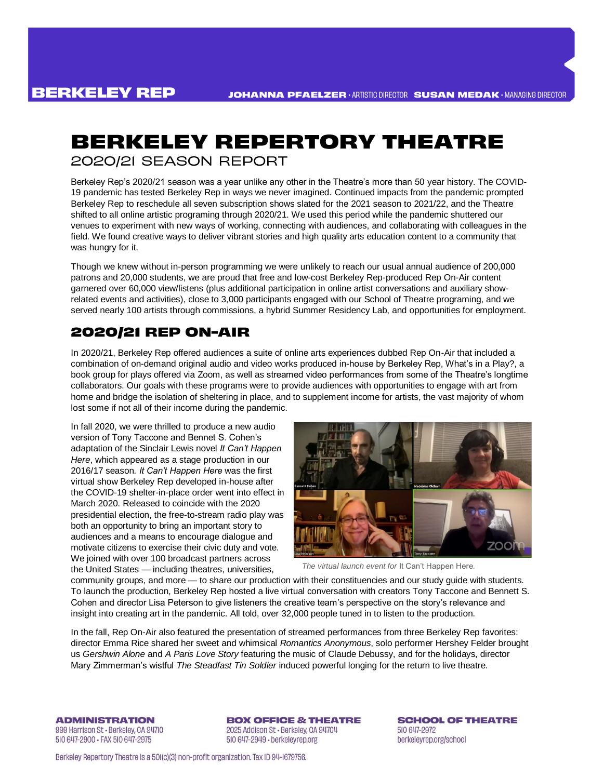# **BERKELEY REPERTORY THEATRE** 2020/2I SEASON REPORT

Berkeley Rep's 2020/21 season was a year unlike any other in the Theatre's more than 50 year history. The COVID-19 pandemic has tested Berkeley Rep in ways we never imagined. Continued impacts from the pandemic prompted Berkeley Rep to reschedule all seven subscription shows slated for the 2021 season to 2021/22, and the Theatre shifted to all online artistic programing through 2020/21. We used this period while the pandemic shuttered our venues to experiment with new ways of working, connecting with audiences, and collaborating with colleagues in the field. We found creative ways to deliver vibrant stories and high quality arts education content to a community that was hungry for it.

Though we knew without in-person programming we were unlikely to reach our usual annual audience of 200,000 patrons and 20,000 students, we are proud that free and low-cost Berkeley Rep-produced Rep On-Air content garnered over 60,000 view/listens (plus additional participation in online artist conversations and auxiliary showrelated events and activities), close to 3,000 participants engaged with our School of Theatre programing, and we served nearly 100 artists through commissions, a hybrid Summer Residency Lab, and opportunities for employment.

# **2020/21 REP ON-AIR**

In 2020/21, Berkeley Rep offered audiences a suite of online arts experiences dubbed Rep On-Air that included a combination of on-demand original audio and video works produced in-house by Berkeley Rep, What's in a Play?, a book group for plays offered via Zoom, as well as streamed video performances from some of the Theatre's longtime collaborators. Our goals with these programs were to provide audiences with opportunities to engage with art from home and bridge the isolation of sheltering in place, and to supplement income for artists, the vast majority of whom lost some if not all of their income during the pandemic.

In fall 2020, we were thrilled to produce a new audio version of Tony Taccone and Bennet S. Cohen's adaptation of the Sinclair Lewis novel *It Can't Happen Here*, which appeared as a stage production in our 2016/17 season*. It Can't Happen Here* was the first virtual show Berkeley Rep developed in-house after the COVID-19 shelter-in-place order went into effect in March 2020. Released to coincide with the 2020 presidential election, the free-to-stream radio play was both an opportunity to bring an important story to audiences and a means to encourage dialogue and motivate citizens to exercise their civic duty and vote. We joined with over 100 broadcast partners across the United States — including theatres, universities,



*The virtual launch event for* It Can't Happen Here*.*

community groups, and more — to share our production with their constituencies and our study guide with students. To launch the production, Berkeley Rep hosted a live virtual conversation with creators Tony Taccone and Bennett S. Cohen and director Lisa Peterson to give listeners the creative team's perspective on the story's relevance and insight into creating art in the pandemic. All told, over 32,000 people tuned in to listen to the production.

In the fall, Rep On-Air also featured the presentation of streamed performances from three Berkeley Rep favorites: director Emma Rice shared her sweet and whimsical *Romantics Anonymous*, solo performer Hershey Felder brought us *Gershwin Alone* and *A Paris Love Story* featuring the music of Claude Debussy, and for the holidays, director Mary Zimmerman's wistful *The Steadfast Tin Soldier* induced powerful longing for the return to live theatre.

**ADMINISTRATION** 999 Harrison St - Berkeley, CA 94710 510 647-2900 · FAX 510 647-2975

**BOX OFFICE & THEATRE** 2025 Addison St - Berkeley, CA 94704 510 647-2949 · berkeleyrep.org

**SCHOOL OF THEATRE** 510 647-2972 berkeleyrep.org/school

Berkeley Repertory Theatre is a 501(c)(3) non-profit organization. Tax ID 94-1679756.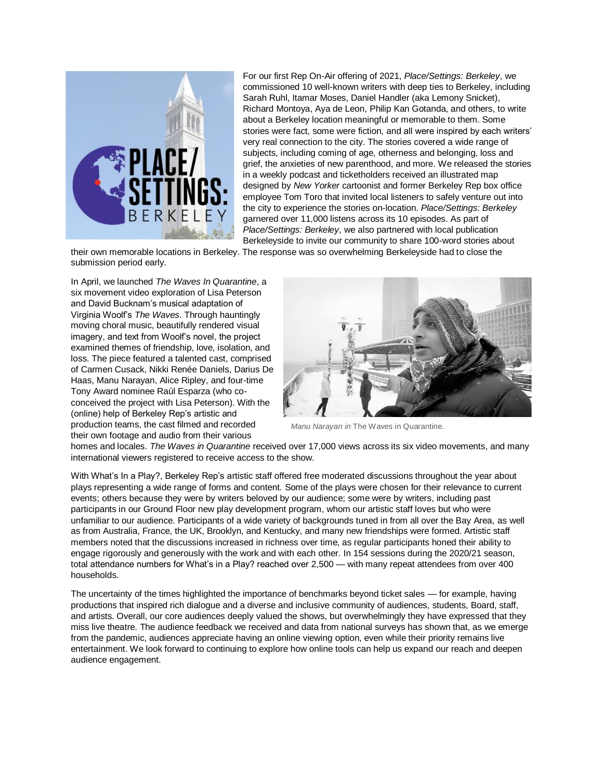

For our first Rep On-Air offering of 2021, *Place/Settings: Berkeley*, we commissioned 10 well-known writers with deep ties to Berkeley, including Sarah Ruhl, Itamar Moses, Daniel Handler (aka Lemony Snicket), Richard Montoya, Aya de Leon, Philip Kan Gotanda, and others, to write about a Berkeley location meaningful or memorable to them. Some stories were fact, some were fiction, and all were inspired by each writers' very real connection to the city. The stories covered a wide range of subjects, including coming of age, otherness and belonging, loss and grief, the anxieties of new parenthood, and more. We released the stories in a weekly podcast and ticketholders received an illustrated map designed by *New Yorker* cartoonist and former Berkeley Rep box office employee Tom Toro that invited local listeners to safely venture out into the city to experience the stories on-location. *Place/Settings: Berkeley* garnered over 11,000 listens across its 10 episodes. As part of *Place/Settings: Berkeley*, we also partnered with local publication Berkeleyside to invite our community to share 100-word stories about

their own memorable locations in Berkeley. The response was so overwhelming Berkeleyside had to close the submission period early.

In April, we launched *The Waves In Quarantine*, a six movement video exploration of Lisa Peterson and David Bucknam's musical adaptation of Virginia Woolf's *The Waves*. Through hauntingly moving choral music, beautifully rendered visual imagery, and text from Woolf's novel, the project examined themes of friendship, love, isolation, and loss. The piece featured a talented cast, comprised of Carmen Cusack, Nikki Renée Daniels, Darius De Haas, Manu Narayan, Alice Ripley, and four-time Tony Award nominee Raúl Esparza (who coconceived the project with Lisa Peterson). With the (online) help of Berkeley Rep's artistic and production teams, the cast filmed and recorded their own footage and audio from their various



*Manu Narayan in* The Waves in Quarantine*.*

homes and locales. *The Waves in Quarantine* received over 17,000 views across its six video movements, and many international viewers registered to receive access to the show.

With What's In a Play?, Berkeley Rep's artistic staff offered free moderated discussions throughout the year about plays representing a wide range of forms and content. Some of the plays were chosen for their relevance to current events; others because they were by writers beloved by our audience; some were by writers, including past participants in our Ground Floor new play development program, whom our artistic staff loves but who were unfamiliar to our audience. Participants of a wide variety of backgrounds tuned in from all over the Bay Area, as well as from Australia, France, the UK, Brooklyn, and Kentucky, and many new friendships were formed. Artistic staff members noted that the discussions increased in richness over time, as regular participants honed their ability to engage rigorously and generously with the work and with each other. In 154 sessions during the 2020/21 season, total attendance numbers for What's in a Play? reached over 2,500 — with many repeat attendees from over 400 households.

The uncertainty of the times highlighted the importance of benchmarks beyond ticket sales — for example, having productions that inspired rich dialogue and a diverse and inclusive community of audiences, students, Board, staff, and artists. Overall, our core audiences deeply valued the shows, but overwhelmingly they have expressed that they miss live theatre. The audience feedback we received and data from national surveys has shown that, as we emerge from the pandemic, audiences appreciate having an online viewing option, even while their priority remains live entertainment. We look forward to continuing to explore how online tools can help us expand our reach and deepen audience engagement.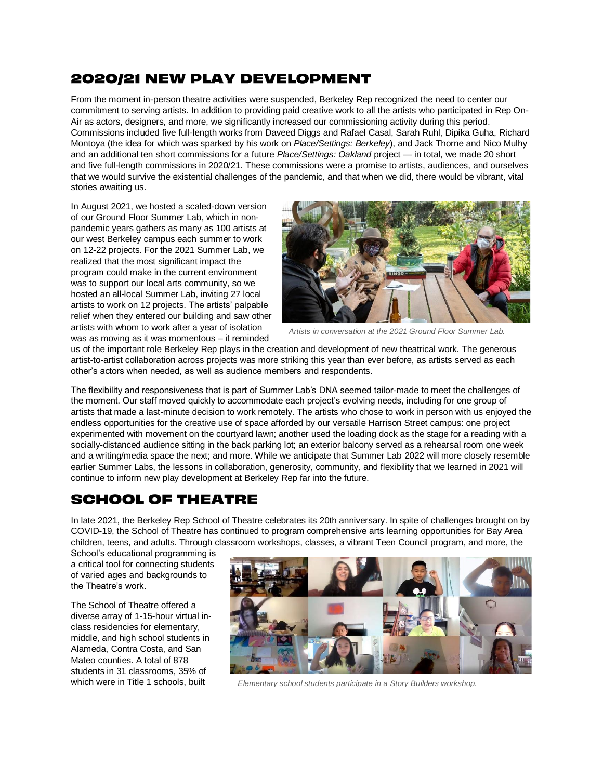### **2020/21 NEW PLAY DEVELOPMENT**

From the moment in-person theatre activities were suspended, Berkeley Rep recognized the need to center our commitment to serving artists. In addition to providing paid creative work to all the artists who participated in Rep On-Air as actors, designers, and more, we significantly increased our commissioning activity during this period. Commissions included five full-length works from Daveed Diggs and Rafael Casal, Sarah Ruhl, Dipika Guha, Richard Montoya (the idea for which was sparked by his work on *Place/Settings: Berkeley*), and Jack Thorne and Nico Mulhy and an additional ten short commissions for a future *Place/Settings: Oakland* project — in total, we made 20 short and five full-length commissions in 2020/21. These commissions were a promise to artists, audiences, and ourselves that we would survive the existential challenges of the pandemic, and that when we did, there would be vibrant, vital stories awaiting us.

In August 2021, we hosted a scaled-down version of our Ground Floor Summer Lab, which in nonpandemic years gathers as many as 100 artists at our west Berkeley campus each summer to work on 12-22 projects. For the 2021 Summer Lab, we realized that the most significant impact the program could make in the current environment was to support our local arts community, so we hosted an all-local Summer Lab, inviting 27 local artists to work on 12 projects. The artists' palpable relief when they entered our building and saw other artists with whom to work after a year of isolation was as moving as it was momentous – it reminded



*Artists in conversation at the 2021 Ground Floor Summer Lab.*

us of the important role Berkeley Rep plays in the creation and development of new theatrical work. The generous artist-to-artist collaboration across projects was more striking this year than ever before, as artists served as each other's actors when needed, as well as audience members and respondents.

The flexibility and responsiveness that is part of Summer Lab's DNA seemed tailor-made to meet the challenges of the moment. Our staff moved quickly to accommodate each project's evolving needs, including for one group of artists that made a last-minute decision to work remotely. The artists who chose to work in person with us enjoyed the endless opportunities for the creative use of space afforded by our versatile Harrison Street campus: one project experimented with movement on the courtyard lawn; another used the loading dock as the stage for a reading with a socially-distanced audience sitting in the back parking lot; an exterior balcony served as a rehearsal room one week and a writing/media space the next; and more. While we anticipate that Summer Lab 2022 will more closely resemble earlier Summer Labs, the lessons in collaboration, generosity, community, and flexibility that we learned in 2021 will continue to inform new play development at Berkeley Rep far into the future.

# **SCHOOL OF THEATRE**

In late 2021, the Berkeley Rep School of Theatre celebrates its 20th anniversary. In spite of challenges brought on by COVID-19, the School of Theatre has continued to program comprehensive arts learning opportunities for Bay Area children, teens, and adults. Through classroom workshops, classes, a vibrant Teen Council program, and more, the

School's educational programming is a critical tool for connecting students of varied ages and backgrounds to the Theatre's work.

The School of Theatre offered a diverse array of 1-15-hour virtual inclass residencies for elementary, middle, and high school students in Alameda, Contra Costa, and San Mateo counties. A total of 878 students in 31 classrooms, 35% of



which were in Title 1 schools, built *Elementary school students participate in a Story Builders workshop.*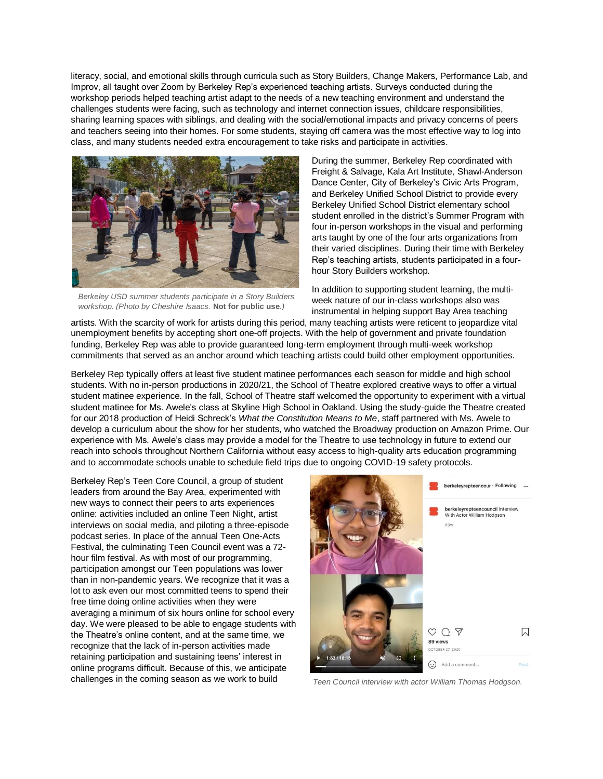literacy, social, and emotional skills through curricula such as Story Builders, Change Makers, Performance Lab, and Improv, all taught over Zoom by Berkeley Rep's experienced teaching artists. Surveys conducted during the workshop periods helped teaching artist adapt to the needs of a new teaching environment and understand the challenges students were facing, such as technology and internet connection issues, childcare responsibilities, sharing learning spaces with siblings, and dealing with the social/emotional impacts and privacy concerns of peers and teachers seeing into their homes. For some students, staying off camera was the most effective way to log into class, and many students needed extra encouragement to take risks and participate in activities.



*Berkeley USD summer students participate in a Story Builders workshop. (Photo by Cheshire Isaacs.* **Not for public use***.)*

During the summer, Berkeley Rep coordinated with Freight & Salvage, Kala Art Institute, Shawl-Anderson Dance Center, City of Berkeley's Civic Arts Program, and Berkeley Unified School District to provide every Berkeley Unified School District elementary school student enrolled in the district's Summer Program with four in-person workshops in the visual and performing arts taught by one of the four arts organizations from their varied disciplines. During their time with Berkeley Rep's teaching artists, students participated in a fourhour Story Builders workshop.

In addition to supporting student learning, the multiweek nature of our in-class workshops also was instrumental in helping support Bay Area teaching

artists. With the scarcity of work for artists during this period, many teaching artists were reticent to jeopardize vital unemployment benefits by accepting short one-off projects. With the help of government and private foundation funding, Berkeley Rep was able to provide guaranteed long-term employment through multi-week workshop commitments that served as an anchor around which teaching artists could build other employment opportunities.

Berkeley Rep typically offers at least five student matinee performances each season for middle and high school students. With no in-person productions in 2020/21, the School of Theatre explored creative ways to offer a virtual student matinee experience. In the fall, School of Theatre staff welcomed the opportunity to experiment with a virtual student matinee for Ms. Awele's class at Skyline High School in Oakland. Using the study-guide the Theatre created for our 2018 production of Heidi Schreck's *What the Constitution Means to Me*, staff partnered with Ms. Awele to develop a curriculum about the show for her students, who watched the Broadway production on Amazon Prime. Our experience with Ms. Awele's class may provide a model for the Theatre to use technology in future to extend our reach into schools throughout Northern California without easy access to high-quality arts education programming and to accommodate schools unable to schedule field trips due to ongoing COVID-19 safety protocols.

Berkeley Rep's Teen Core Council, a group of student leaders from around the Bay Area, experimented with new ways to connect their peers to arts experiences online: activities included an online Teen Night, artist interviews on social media, and piloting a three-episode podcast series. In place of the annual Teen One-Acts Festival, the culminating Teen Council event was a 72 hour film festival. As with most of our programming, participation amongst our Teen populations was lower than in non-pandemic years. We recognize that it was a lot to ask even our most committed teens to spend their free time doing online activities when they were averaging a minimum of six hours online for school every day. We were pleased to be able to engage students with the Theatre's online content, and at the same time, we recognize that the lack of in-person activities made retaining participation and sustaining teens' interest in online programs difficult. Because of this, we anticipate challenges in the coming season as we work to build



*Teen Council interview with actor William Thomas Hodgson.*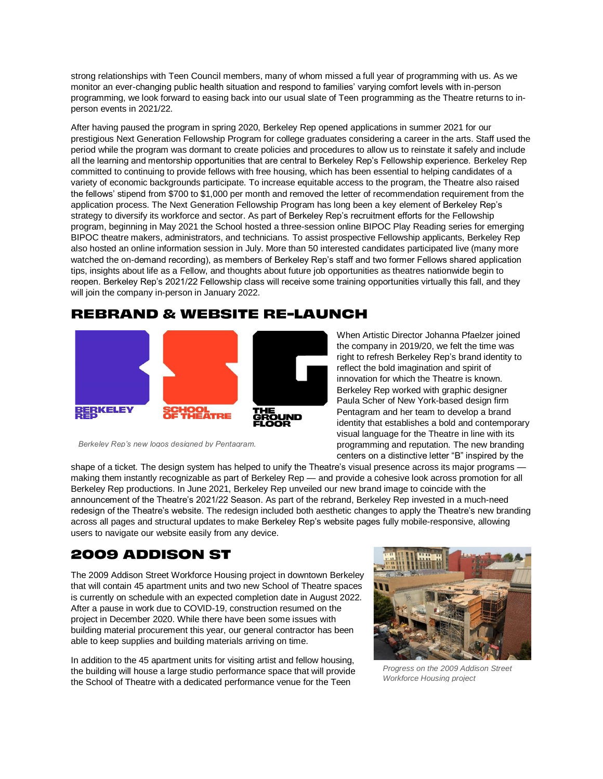strong relationships with Teen Council members, many of whom missed a full year of programming with us. As we monitor an ever-changing public health situation and respond to families' varying comfort levels with in-person programming, we look forward to easing back into our usual slate of Teen programming as the Theatre returns to inperson events in 2021/22.

After having paused the program in spring 2020, Berkeley Rep opened applications in summer 2021 for our prestigious Next Generation Fellowship Program for college graduates considering a career in the arts. Staff used the period while the program was dormant to create policies and procedures to allow us to reinstate it safely and include all the learning and mentorship opportunities that are central to Berkeley Rep's Fellowship experience. Berkeley Rep committed to continuing to provide fellows with free housing, which has been essential to helping candidates of a variety of economic backgrounds participate. To increase equitable access to the program, the Theatre also raised the fellows' stipend from \$700 to \$1,000 per month and removed the letter of recommendation requirement from the application process. The Next Generation Fellowship Program has long been a key element of Berkeley Rep's strategy to diversify its workforce and sector. As part of Berkeley Rep's recruitment efforts for the Fellowship program, beginning in May 2021 the School hosted a three-session online BIPOC Play Reading series for emerging BIPOC theatre makers, administrators, and technicians. To assist prospective Fellowship applicants, Berkeley Rep also hosted an online information session in July. More than 50 interested candidates participated live (many more watched the on-demand recording), as members of Berkeley Rep's staff and two former Fellows shared application tips, insights about life as a Fellow, and thoughts about future job opportunities as theatres nationwide begin to reopen. Berkeley Rep's 2021/22 Fellowship class will receive some training opportunities virtually this fall, and they will join the company in-person in January 2022.

#### **REBRAND & WEBSITE RE-LAUNCH**



When Artistic Director Johanna Pfaelzer joined the company in 2019/20, we felt the time was right to refresh Berkeley Rep's brand identity to reflect the bold imagination and spirit of innovation for which the Theatre is known. Berkeley Rep worked with graphic designer Paula Scher of New York-based design firm Pentagram and her team to develop a brand identity that establishes a bold and contemporary visual language for the Theatre in line with its programming and reputation. The new branding centers on a distinctive letter "B" inspired by the

*Berkeley Rep's new logos designed by Pentagram.*

shape of a ticket. The design system has helped to unify the Theatre's visual presence across its major programs making them instantly recognizable as part of Berkeley Rep — and provide a cohesive look across promotion for all Berkeley Rep productions. In June 2021, Berkeley Rep unveiled our new brand image to coincide with the announcement of the Theatre's 2021/22 Season. As part of the rebrand, Berkeley Rep invested in a much-need redesign of the Theatre's website. The redesign included both aesthetic changes to apply the Theatre's new branding across all pages and structural updates to make Berkeley Rep's website pages fully mobile-responsive, allowing users to navigate our website easily from any device.

# **2009 ADDISON ST**

The 2009 Addison Street Workforce Housing project in downtown Berkeley that will contain 45 apartment units and two new School of Theatre spaces is currently on schedule with an expected completion date in August 2022. After a pause in work due to COVID-19, construction resumed on the project in December 2020. While there have been some issues with building material procurement this year, our general contractor has been able to keep supplies and building materials arriving on time.

In addition to the 45 apartment units for visiting artist and fellow housing, the building will house a large studio performance space that will provide the School of Theatre with a dedicated performance venue for the Teen



*Progress on the 2009 Addison Street Workforce Housing project*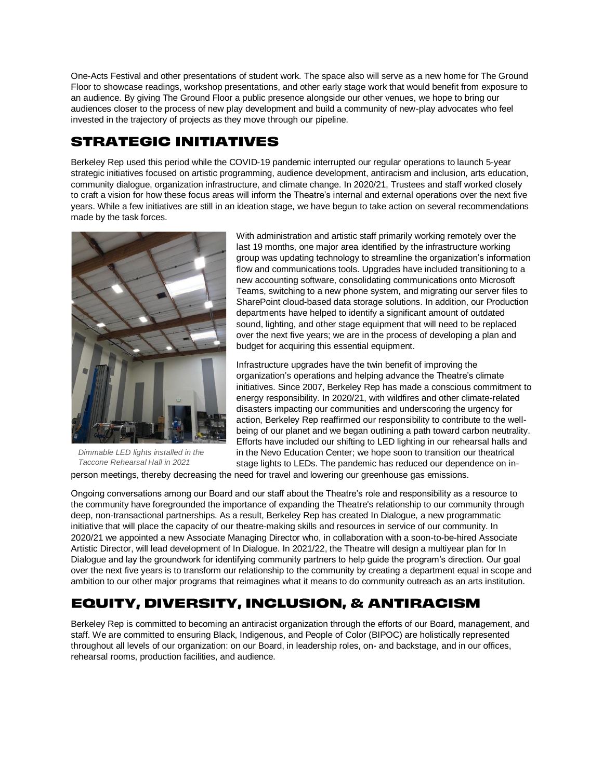One-Acts Festival and other presentations of student work. The space also will serve as a new home for The Ground Floor to showcase readings, workshop presentations, and other early stage work that would benefit from exposure to an audience. By giving The Ground Floor a public presence alongside our other venues, we hope to bring our audiences closer to the process of new play development and build a community of new-play advocates who feel invested in the trajectory of projects as they move through our pipeline.

# **STRATEGIC INITIATIVES**

Berkeley Rep used this period while the COVID-19 pandemic interrupted our regular operations to launch 5-year strategic initiatives focused on artistic programming, audience development, antiracism and inclusion, arts education, community dialogue, organization infrastructure, and climate change. In 2020/21, Trustees and staff worked closely to craft a vision for how these focus areas will inform the Theatre's internal and external operations over the next five years. While a few initiatives are still in an ideation stage, we have begun to take action on several recommendations made by the task forces.



*Dimmable LED lights installed in the Taccone Rehearsal Hall in 2021*

With administration and artistic staff primarily working remotely over the last 19 months, one major area identified by the infrastructure working group was updating technology to streamline the organization's information flow and communications tools. Upgrades have included transitioning to a new accounting software, consolidating communications onto Microsoft Teams, switching to a new phone system, and migrating our server files to SharePoint cloud-based data storage solutions. In addition, our Production departments have helped to identify a significant amount of outdated sound, lighting, and other stage equipment that will need to be replaced over the next five years; we are in the process of developing a plan and budget for acquiring this essential equipment.

Infrastructure upgrades have the twin benefit of improving the organization's operations and helping advance the Theatre's climate initiatives. Since 2007, Berkeley Rep has made a conscious commitment to energy responsibility. In 2020/21, with wildfires and other climate-related disasters impacting our communities and underscoring the urgency for action, Berkeley Rep reaffirmed our responsibility to contribute to the wellbeing of our planet and we began outlining a path toward carbon neutrality. Efforts have included our shifting to LED lighting in our rehearsal halls and in the Nevo Education Center; we hope soon to transition our theatrical stage lights to LEDs. The pandemic has reduced our dependence on in-

person meetings, thereby decreasing the need for travel and lowering our greenhouse gas emissions.

Ongoing conversations among our Board and our staff about the Theatre's role and responsibility as a resource to the community have foregrounded the importance of expanding the Theatre's relationship to our community through deep, non-transactional partnerships. As a result, Berkeley Rep has created In Dialogue, a new programmatic initiative that will place the capacity of our theatre-making skills and resources in service of our community. In 2020/21 we appointed a new Associate Managing Director who, in collaboration with a soon-to-be-hired Associate Artistic Director, will lead development of In Dialogue. In 2021/22, the Theatre will design a multiyear plan for In Dialogue and lay the groundwork for identifying community partners to help guide the program's direction. Our goal over the next five years is to transform our relationship to the community by creating a department equal in scope and ambition to our other major programs that reimagines what it means to do community outreach as an arts institution.

# **EQUITY, DIVERSITY, INCLUSION, & ANTIRACISM**

Berkeley Rep is committed to becoming an antiracist organization through the efforts of our Board, management, and staff. We are committed to ensuring Black, Indigenous, and People of Color (BIPOC) are holistically represented throughout all levels of our organization: on our Board, in leadership roles, on- and backstage, and in our offices, rehearsal rooms, production facilities, and audience.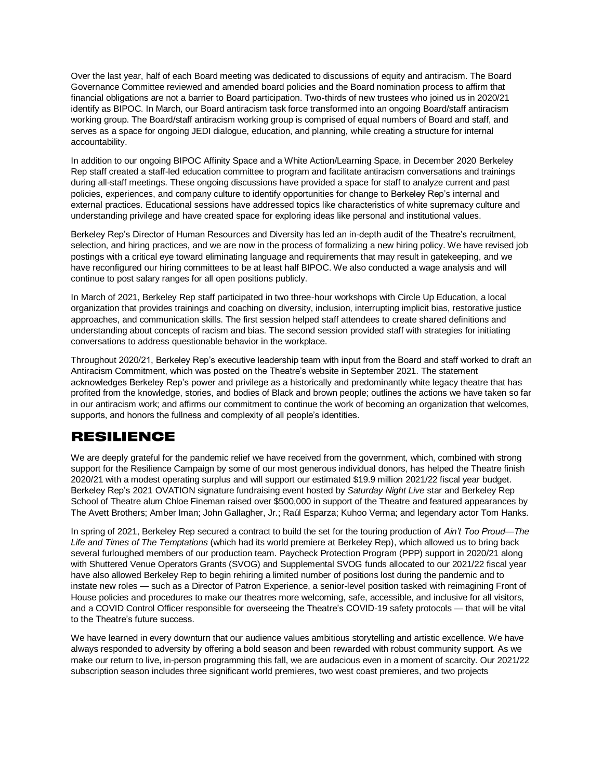Over the last year, half of each Board meeting was dedicated to discussions of equity and antiracism. The Board Governance Committee reviewed and amended board policies and the Board nomination process to affirm that financial obligations are not a barrier to Board participation. Two-thirds of new trustees who joined us in 2020/21 identify as BIPOC. In March, our Board antiracism task force transformed into an ongoing Board/staff antiracism working group. The Board/staff antiracism working group is comprised of equal numbers of Board and staff, and serves as a space for ongoing JEDI dialogue, education, and planning, while creating a structure for internal accountability.

In addition to our ongoing BIPOC Affinity Space and a White Action/Learning Space, in December 2020 Berkeley Rep staff created a staff-led education committee to program and facilitate antiracism conversations and trainings during all-staff meetings. These ongoing discussions have provided a space for staff to analyze current and past policies, experiences, and company culture to identify opportunities for change to Berkeley Rep's internal and external practices. Educational sessions have addressed topics like characteristics of white supremacy culture and understanding privilege and have created space for exploring ideas like personal and institutional values.

Berkeley Rep's Director of Human Resources and Diversity has led an in-depth audit of the Theatre's recruitment, selection, and hiring practices, and we are now in the process of formalizing a new hiring policy. We have revised job postings with a critical eye toward eliminating language and requirements that may result in gatekeeping, and we have reconfigured our hiring committees to be at least half BIPOC. We also conducted a wage analysis and will continue to post salary ranges for all open positions publicly.

In March of 2021, Berkeley Rep staff participated in two three-hour workshops with Circle Up Education, a local organization that provides trainings and coaching on diversity, inclusion, interrupting implicit bias, restorative justice approaches, and communication skills. The first session helped staff attendees to create shared definitions and understanding about concepts of racism and bias. The second session provided staff with strategies for initiating conversations to address questionable behavior in the workplace.

Throughout 2020/21, Berkeley Rep's executive leadership team with input from the Board and staff worked to draft an Antiracism Commitment, which was posted on the Theatre's website in September 2021. The statement acknowledges Berkeley Rep's power and privilege as a historically and predominantly white legacy theatre that has profited from the knowledge, stories, and bodies of Black and brown people; outlines the actions we have taken so far in our antiracism work; and affirms our commitment to continue the work of becoming an organization that welcomes, supports, and honors the fullness and complexity of all people's identities.

# **RESILIENCE**

We are deeply grateful for the pandemic relief we have received from the government, which, combined with strong support for the Resilience Campaign by some of our most generous individual donors, has helped the Theatre finish 2020/21 with a modest operating surplus and will support our estimated \$19.9 million 2021/22 fiscal year budget. Berkeley Rep's 2021 OVATION signature fundraising event hosted by *Saturday Night Live* star and Berkeley Rep School of Theatre alum Chloe Fineman raised over \$500,000 in support of the Theatre and featured appearances by The Avett Brothers; Amber Iman; John Gallagher, Jr.; Raúl Esparza; Kuhoo Verma; and legendary actor Tom Hanks.

In spring of 2021, Berkeley Rep secured a contract to build the set for the touring production of *Ain't Too Proud—The Life and Times of The Temptations* (which had its world premiere at Berkeley Rep), which allowed us to bring back several furloughed members of our production team. Paycheck Protection Program (PPP) support in 2020/21 along with Shuttered Venue Operators Grants (SVOG) and Supplemental SVOG funds allocated to our 2021/22 fiscal year have also allowed Berkeley Rep to begin rehiring a limited number of positions lost during the pandemic and to instate new roles — such as a Director of Patron Experience, a senior-level position tasked with reimagining Front of House policies and procedures to make our theatres more welcoming, safe, accessible, and inclusive for all visitors, and a COVID Control Officer responsible for overseeing the Theatre's COVID-19 safety protocols — that will be vital to the Theatre's future success.

We have learned in every downturn that our audience values ambitious storytelling and artistic excellence. We have always responded to adversity by offering a bold season and been rewarded with robust community support. As we make our return to live, in-person programming this fall, we are audacious even in a moment of scarcity. Our 2021/22 subscription season includes three significant world premieres, two west coast premieres, and two projects